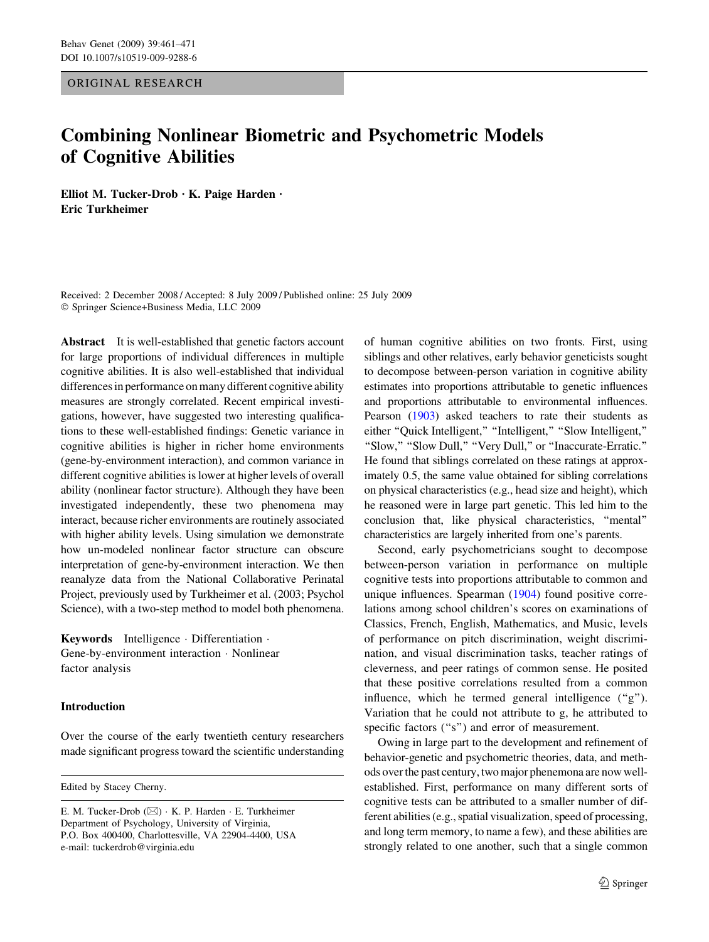ORIGINAL RESEARCH

# Combining Nonlinear Biometric and Psychometric Models of Cognitive Abilities

Elliot M. Tucker-Drob  $\cdot$  K. Paige Harden  $\cdot$ Eric Turkheimer

Received: 2 December 2008 / Accepted: 8 July 2009 / Published online: 25 July 2009 ! Springer Science+Business Media, LLC 2009

Abstract It is well-established that genetic factors account for large proportions of individual differences in multiple cognitive abilities. It is also well-established that individual differences in performance on many different cognitive ability measures are strongly correlated. Recent empirical investigations, however, have suggested two interesting qualifications to these well-established findings: Genetic variance in cognitive abilities is higher in richer home environments (gene-by-environment interaction), and common variance in different cognitive abilities is lower at higher levels of overall ability (nonlinear factor structure). Although they have been investigated independently, these two phenomena may interact, because richer environments are routinely associated with higher ability levels. Using simulation we demonstrate how un-modeled nonlinear factor structure can obscure interpretation of gene-by-environment interaction. We then reanalyze data from the National Collaborative Perinatal Project, previously used by Turkheimer et al. (2003; Psychol Science), with a two-step method to model both phenomena.

**Keywords** Intelligence  $\cdot$  Differentiation  $\cdot$ Gene-by-environment interaction · Nonlinear factor analysis

# Introduction

Over the course of the early twentieth century researchers made significant progress toward the scientific understanding

Edited by Stacey Cherny.

of human cognitive abilities on two fronts. First, using siblings and other relatives, early behavior geneticists sought to decompose between-person variation in cognitive ability estimates into proportions attributable to genetic influences and proportions attributable to environmental influences. Pearson [\(1903\)](#page-9-0) asked teachers to rate their students as either "Quick Intelligent," "Intelligent," "Slow Intelligent," ''Slow,'' ''Slow Dull,'' ''Very Dull,'' or ''Inaccurate-Erratic.'' He found that siblings correlated on these ratings at approximately 0.5, the same value obtained for sibling correlations on physical characteristics (e.g., head size and height), which he reasoned were in large part genetic. This led him to the conclusion that, like physical characteristics, ''mental'' characteristics are largely inherited from one's parents.

Second, early psychometricians sought to decompose between-person variation in performance on multiple cognitive tests into proportions attributable to common and unique influences. Spearman ([1904\)](#page-10-0) found positive correlations among school children's scores on examinations of Classics, French, English, Mathematics, and Music, levels of performance on pitch discrimination, weight discrimination, and visual discrimination tasks, teacher ratings of cleverness, and peer ratings of common sense. He posited that these positive correlations resulted from a common influence, which he termed general intelligence  $($ "g"). Variation that he could not attribute to g, he attributed to specific factors ("s") and error of measurement.

Owing in large part to the development and refinement of behavior-genetic and psychometric theories, data, and methods over the past century, two major phenemona are now wellestablished. First, performance on many different sorts of cognitive tests can be attributed to a smaller number of different abilities (e.g., spatial visualization, speed of processing, and long term memory, to name a few), and these abilities are strongly related to one another, such that a single common

E. M. Tucker-Drob (⊠) · K. P. Harden · E. Turkheimer Department of Psychology, University of Virginia, P.O. Box 400400, Charlottesville, VA 22904-4400, USA e-mail: tuckerdrob@virginia.edu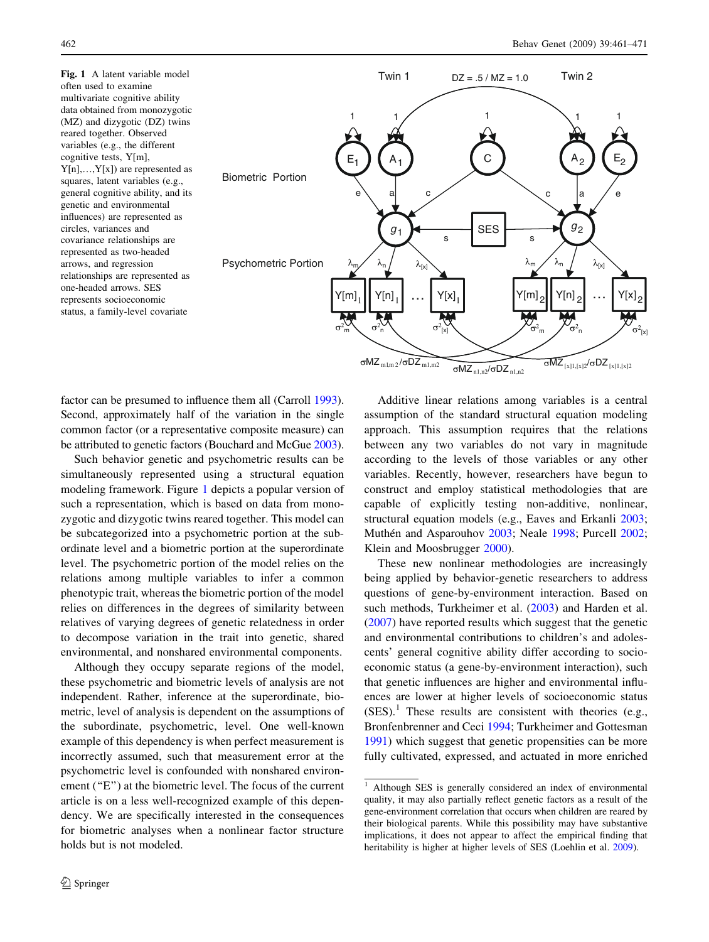Fig. 1 A latent variable model often used to examine multivariate cognitive ability data obtained from monozygotic (MZ) and dizygotic (DZ) twins reared together. Observed variables (e.g., the different cognitive tests, Y[m],  $Y[n],...,Y[x]$  are represented as squares, latent variables (e.g., general cognitive ability, and its genetic and environmental influences) are represented as circles, variances and covariance relationships are represented as two-headed arrows, and regression relationships are represented as one-headed arrows. SES represents socioeconomic status, a family-level covariate



factor can be presumed to influence them all (Carroll [1993](#page-9-0)). Second, approximately half of the variation in the single common factor (or a representative composite measure) can be attributed to genetic factors (Bouchard and McGue [2003](#page-9-0)).

Such behavior genetic and psychometric results can be simultaneously represented using a structural equation modeling framework. Figure [1](#page-1-0) depicts a popular version of such a representation, which is based on data from monozygotic and dizygotic twins reared together. This model can be subcategorized into a psychometric portion at the subordinate level and a biometric portion at the superordinate level. The psychometric portion of the model relies on the relations among multiple variables to infer a common phenotypic trait, whereas the biometric portion of the model relies on differences in the degrees of similarity between relatives of varying degrees of genetic relatedness in order to decompose variation in the trait into genetic, shared environmental, and nonshared environmental components.

<span id="page-1-0"></span>Although they occupy separate regions of the model, these psychometric and biometric levels of analysis are not independent. Rather, inference at the superordinate, biometric, level of analysis is dependent on the assumptions of the subordinate, psychometric, level. One well-known example of this dependency is when perfect measurement is incorrectly assumed, such that measurement error at the psychometric level is confounded with nonshared environement (''E'') at the biometric level. The focus of the current article is on a less well-recognized example of this dependency. We are specifically interested in the consequences for biometric analyses when a nonlinear factor structure holds but is not modeled.

Additive linear relations among variables is a central assumption of the standard structural equation modeling approach. This assumption requires that the relations between any two variables do not vary in magnitude according to the levels of those variables or any other variables. Recently, however, researchers have begun to construct and employ statistical methodologies that are capable of explicitly testing non-additive, nonlinear, structural equation models (e.g., Eaves and Erkanli [2003](#page-9-0); Muthén and Asparouhov [2003;](#page-9-0) Neale [1998;](#page-9-0) Purcell [2002](#page-10-0); Klein and Moosbrugger [2000\)](#page-9-0).

These new nonlinear methodologies are increasingly being applied by behavior-genetic researchers to address questions of gene-by-environment interaction. Based on such methods, Turkheimer et al. [\(2003](#page-10-0)) and Harden et al. [\(2007](#page-9-0)) have reported results which suggest that the genetic and environmental contributions to children's and adolescents' general cognitive ability differ according to socioeconomic status (a gene-by-environment interaction), such that genetic influences are higher and environmental influences are lower at higher levels of socioeconomic status  $(SES).<sup>1</sup>$  These results are consistent with theories (e.g., Bronfenbrenner and Ceci [1994](#page-9-0); Turkheimer and Gottesman [1991](#page-10-0)) which suggest that genetic propensities can be more fully cultivated, expressed, and actuated in more enriched

<sup>&</sup>lt;sup>1</sup> Although SES is generally considered an index of environmental quality, it may also partially reflect genetic factors as a result of the gene-environment correlation that occurs when children are reared by their biological parents. While this possibility may have substantive implications, it does not appear to affect the empirical finding that heritability is higher at higher levels of SES (Loehlin et al. [2009](#page-9-0)).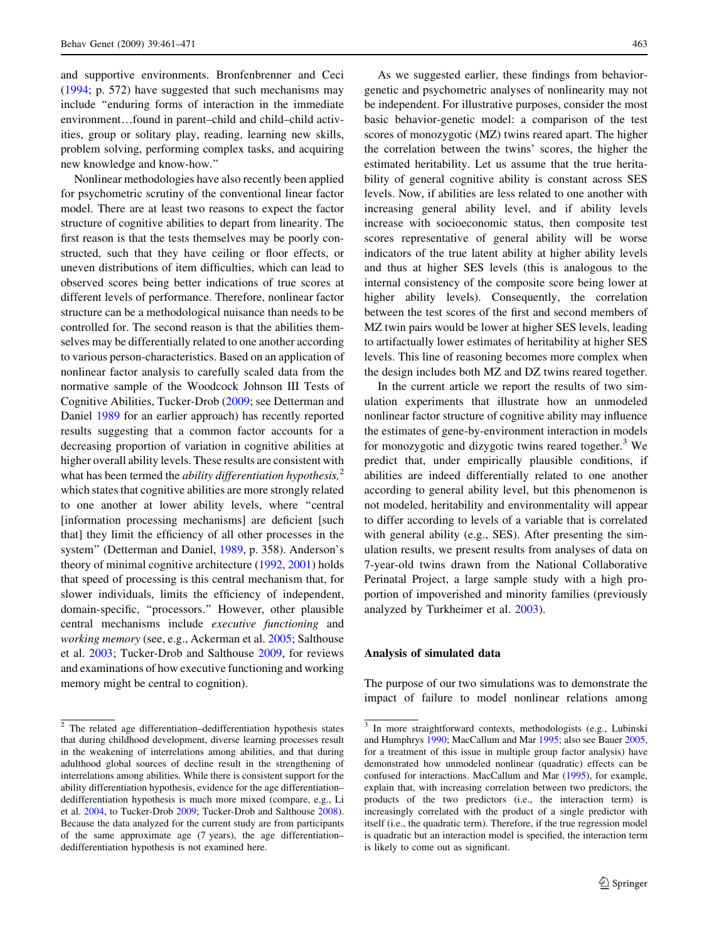and supportive environments. Bronfenbrenner and Ceci [\(1994](#page-9-0); p. 572) have suggested that such mechanisms may include ''enduring forms of interaction in the immediate environment…found in parent–child and child–child activities, group or solitary play, reading, learning new skills, problem solving, performing complex tasks, and acquiring new knowledge and know-how.''

Nonlinear methodologies have also recently been applied for psychometric scrutiny of the conventional linear factor model. There are at least two reasons to expect the factor structure of cognitive abilities to depart from linearity. The first reason is that the tests themselves may be poorly constructed, such that they have ceiling or floor effects, or uneven distributions of item difficulties, which can lead to observed scores being better indications of true scores at different levels of performance. Therefore, nonlinear factor structure can be a methodological nuisance than needs to be controlled for. The second reason is that the abilities themselves may be differentially related to one another according to various person-characteristics. Based on an application of nonlinear factor analysis to carefully scaled data from the normative sample of the Woodcock Johnson III Tests of Cognitive Abilities, Tucker-Drob ([2009;](#page-10-0) see Detterman and Daniel [1989](#page-9-0) for an earlier approach) has recently reported results suggesting that a common factor accounts for a decreasing proportion of variation in cognitive abilities at higher overall ability levels. These results are consistent with what has been termed the *ability differentiation hypothesis*, $2$ which states that cognitive abilities are more strongly related to one another at lower ability levels, where ''central [information processing mechanisms] are deficient [such that] they limit the efficiency of all other processes in the system'' (Detterman and Daniel, [1989](#page-9-0), p. 358). Anderson's theory of minimal cognitive architecture [\(1992](#page-9-0), [2001\)](#page-9-0) holds that speed of processing is this central mechanism that, for slower individuals, limits the efficiency of independent, domain-specific, ''processors.'' However, other plausible central mechanisms include executive functioning and working memory (see, e.g., Ackerman et al. [2005](#page-9-0); Salthouse et al. [2003;](#page-10-0) Tucker-Drob and Salthouse [2009](#page-10-0), for reviews and examinations of how executive functioning and working memory might be central to cognition).

As we suggested earlier, these findings from behaviorgenetic and psychometric analyses of nonlinearity may not be independent. For illustrative purposes, consider the most basic behavior-genetic model: a comparison of the test scores of monozygotic (MZ) twins reared apart. The higher the correlation between the twins' scores, the higher the estimated heritability. Let us assume that the true heritability of general cognitive ability is constant across SES levels. Now, if abilities are less related to one another with increasing general ability level, and if ability levels increase with socioeconomic status, then composite test scores representative of general ability will be worse indicators of the true latent ability at higher ability levels and thus at higher SES levels (this is analogous to the internal consistency of the composite score being lower at higher ability levels). Consequently, the correlation between the test scores of the first and second members of MZ twin pairs would be lower at higher SES levels, leading to artifactually lower estimates of heritability at higher SES levels. This line of reasoning becomes more complex when the design includes both MZ and DZ twins reared together.

In the current article we report the results of two simulation experiments that illustrate how an unmodeled nonlinear factor structure of cognitive ability may influence the estimates of gene-by-environment interaction in models for monozygotic and dizygotic twins reared together.<sup>3</sup> We predict that, under empirically plausible conditions, if abilities are indeed differentially related to one another according to general ability level, but this phenomenon is not modeled, heritability and environmentality will appear to differ according to levels of a variable that is correlated with general ability (e.g., SES). After presenting the simulation results, we present results from analyses of data on 7-year-old twins drawn from the National Collaborative Perinatal Project, a large sample study with a high proportion of impoverished and minority families (previously analyzed by Turkheimer et al. [2003\)](#page-10-0).

## Analysis of simulated data

The purpose of our two simulations was to demonstrate the impact of failure to model nonlinear relations among

<sup>2</sup> The related age differentiation–dedifferentiation hypothesis states that during childhood development, diverse learning processes result in the weakening of interrelations among abilities, and that during adulthood global sources of decline result in the strengthening of interrelations among abilities. While there is consistent support for the ability differentiation hypothesis, evidence for the age differentiation– dedifferentiation hypothesis is much more mixed (compare, e.g., Li et al. [2004,](#page-9-0) to Tucker-Drob [2009](#page-10-0); Tucker-Drob and Salthouse [2008](#page-10-0)). Because the data analyzed for the current study are from participants of the same approximate age (7 years), the age differentiation– dedifferentiation hypothesis is not examined here.

<sup>&</sup>lt;sup>3</sup> In more straightforward contexts, methodologists (e.g., Lubinski and Humphrys [1990](#page-9-0); MacCallum and Mar [1995;](#page-9-0) also see Bauer [2005](#page-9-0), for a treatment of this issue in multiple group factor analysis) have demonstrated how unmodeled nonlinear (quadratic) effects can be confused for interactions. MacCallum and Mar ([1995\)](#page-9-0), for example, explain that, with increasing correlation between two predictors, the products of the two predictors (i.e., the interaction term) is increasingly correlated with the product of a single predictor with itself (i.e., the quadratic term). Therefore, if the true regression model is quadratic but an interaction model is specified, the interaction term is likely to come out as significant.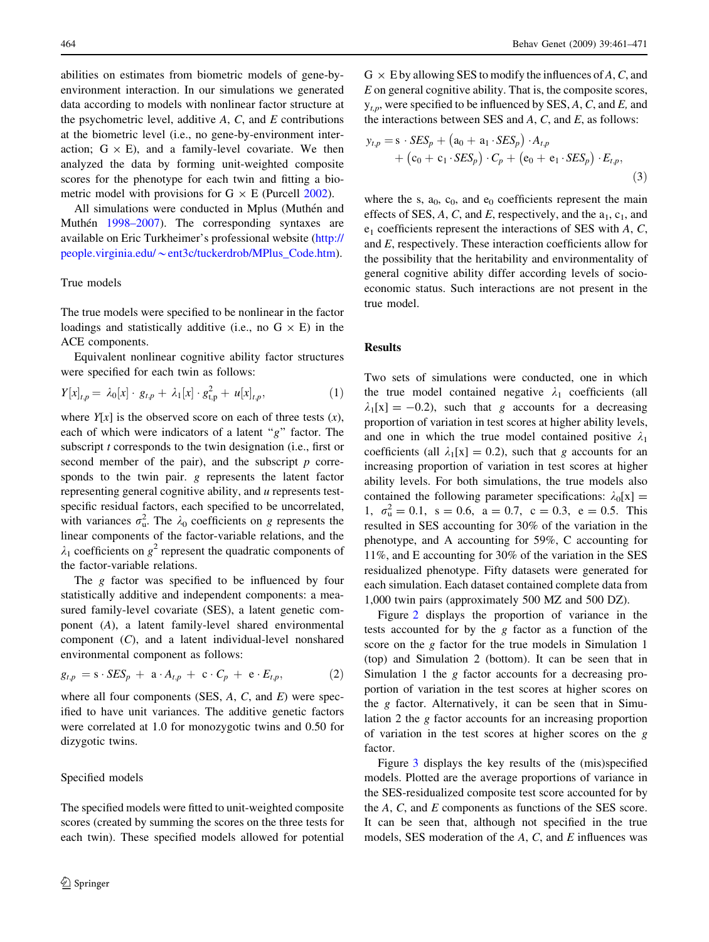abilities on estimates from biometric models of gene-byenvironment interaction. In our simulations we generated data according to models with nonlinear factor structure at the psychometric level, additive  $A$ ,  $C$ , and  $E$  contributions at the biometric level (i.e., no gene-by-environment interaction;  $G \times E$ ), and a family-level covariate. We then analyzed the data by forming unit-weighted composite scores for the phenotype for each twin and fitting a biometric model with provisions for  $G \times E$  (Purcell [2002](#page-10-0)).

All simulations were conducted in Mplus (Muthén and Muthén [1998–2007](#page-9-0)). The corresponding syntaxes are available on Eric Turkheimer's professional website [\(http://](http://people.virginia.edu/~ent3c/tuckerdrob/MPlus_Code.htm) people.virginia.edu/~[ent3c/tuckerdrob/MPlus\\_Code.htm](http://people.virginia.edu/~ent3c/tuckerdrob/MPlus_Code.htm)).

# True models

The true models were specified to be nonlinear in the factor loadings and statistically additive (i.e., no  $G \times E$ ) in the ACE components.

Equivalent nonlinear cognitive ability factor structures were specified for each twin as follows:

$$
Y[x]_{t,p} = \lambda_0[x] \cdot g_{t,p} + \lambda_1[x] \cdot g_{t,p}^2 + u[x]_{t,p}, \qquad (1)
$$

where  $Y[x]$  is the observed score on each of three tests  $(x)$ , each of which were indicators of a latent " $g$ " factor. The subscript t corresponds to the twin designation (i.e., first or second member of the pair), and the subscript  $p$  corresponds to the twin pair. g represents the latent factor representing general cognitive ability, and u represents testspecific residual factors, each specified to be uncorrelated, with variances  $\sigma_u^2$ . The  $\lambda_0$  coefficients on g represents the linear components of the factor-variable relations, and the  $\lambda_1$  coefficients on  $g^2$  represent the quadratic components of the factor-variable relations.

The *g* factor was specified to be influenced by four statistically additive and independent components: a measured family-level covariate (SES), a latent genetic component (A), a latent family-level shared environmental component (C), and a latent individual-level nonshared environmental component as follows:

$$
g_{t,p} = \mathbf{s} \cdot \text{SES}_p + \mathbf{a} \cdot A_{t,p} + \mathbf{c} \cdot C_p + \mathbf{e} \cdot E_{t,p}, \tag{2}
$$

where all four components (SES,  $A$ ,  $C$ , and  $E$ ) were specified to have unit variances. The additive genetic factors were correlated at 1.0 for monozygotic twins and 0.50 for dizygotic twins.

#### Specified models

<span id="page-3-0"></span>The specified models were fitted to unit-weighted composite scores (created by summing the scores on the three tests for each twin). These specified models allowed for potential

 $G \times E$  by allowing SES to modify the influences of A, C, and E on general cognitive ability. That is, the composite scores,  $y_{th}$ , were specified to be influenced by SES, A, C, and E, and the interactions between SES and  $A$ ,  $C$ , and  $E$ , as follows:

$$
y_{t,p} = s \cdot \text{SES}_p + (a_0 + a_1 \cdot \text{SES}_p) \cdot A_{t,p}
$$
  
+ 
$$
(c_0 + c_1 \cdot \text{SES}_p) \cdot C_p + (e_0 + e_1 \cdot \text{SES}_p) \cdot E_{t,p},
$$

$$
(3)
$$

where the s,  $a_0$ ,  $c_0$ , and  $e_0$  coefficients represent the main effects of SES,  $A$ ,  $C$ , and  $E$ , respectively, and the  $a_1$ ,  $c_1$ , and  $e_1$  coefficients represent the interactions of SES with A, C, and E, respectively. These interaction coefficients allow for the possibility that the heritability and environmentality of general cognitive ability differ according levels of socioeconomic status. Such interactions are not present in the true model.

## Results

Two sets of simulations were conducted, one in which the true model contained negative  $\lambda_1$  coefficients (all  $\lambda_1[x] = -0.2$ , such that g accounts for a decreasing proportion of variation in test scores at higher ability levels, and one in which the true model contained positive  $\lambda_1$ coefficients (all  $\lambda_1[x] = 0.2$ ), such that g accounts for an increasing proportion of variation in test scores at higher ability levels. For both simulations, the true models also contained the following parameter specifications:  $\lambda_0[x] =$ 1,  $\sigma_{\rm u}^2 = 0.1$ , s = 0.6, a = 0.7, c = 0.3, e = 0.5. This resulted in SES accounting for 30% of the variation in the phenotype, and A accounting for 59%, C accounting for 11%, and E accounting for 30% of the variation in the SES residualized phenotype. Fifty datasets were generated for each simulation. Each dataset contained complete data from 1,000 twin pairs (approximately 500 MZ and 500 DZ).

Figure [2](#page-4-0) displays the proportion of variance in the tests accounted for by the g factor as a function of the score on the g factor for the true models in Simulation 1 (top) and Simulation 2 (bottom). It can be seen that in Simulation 1 the g factor accounts for a decreasing proportion of variation in the test scores at higher scores on the g factor. Alternatively, it can be seen that in Simulation 2 the g factor accounts for an increasing proportion of variation in the test scores at higher scores on the g factor.

Figure [3](#page-5-0) displays the key results of the (mis)specified models. Plotted are the average proportions of variance in the SES-residualized composite test score accounted for by the A, C, and E components as functions of the SES score. It can be seen that, although not specified in the true models, SES moderation of the  $A$ ,  $C$ , and  $E$  influences was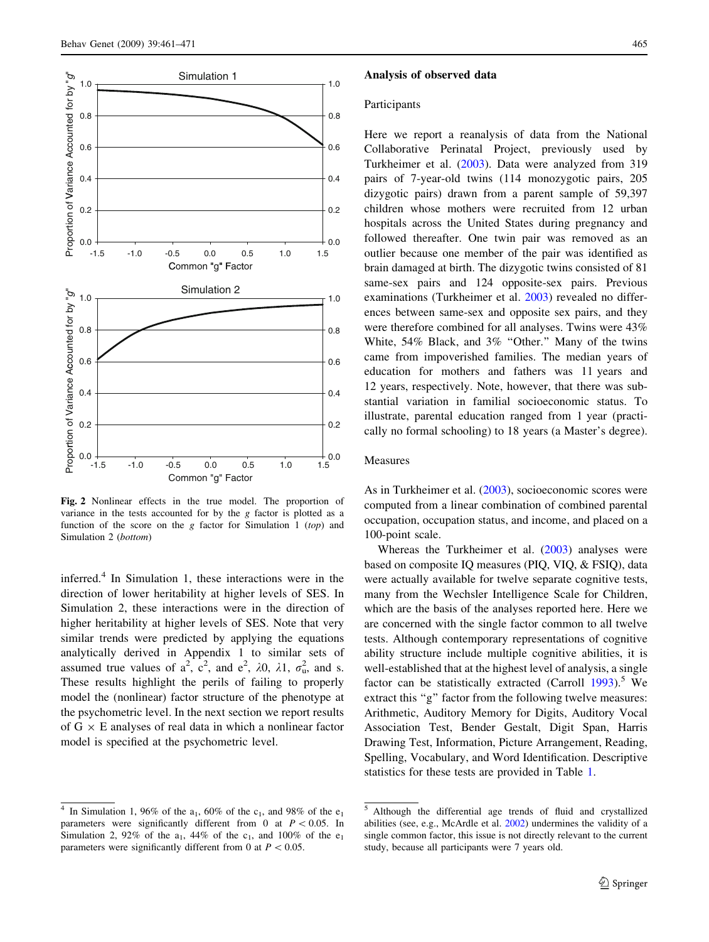

Fig. 2 Nonlinear effects in the true model. The proportion of variance in the tests accounted for by the g factor is plotted as a function of the score on the  $g$  factor for Simulation 1 (top) and Simulation 2 (bottom)

inferred.<sup>4</sup> In Simulation 1, these interactions were in the direction of lower heritability at higher levels of SES. In Simulation 2, these interactions were in the direction of higher heritability at higher levels of SES. Note that very similar trends were predicted by applying the equations analytically derived in Appendix 1 to similar sets of assumed true values of  $a^2$ ,  $c^2$ , and  $e^2$ ,  $\lambda 0$ ,  $\lambda 1$ ,  $\sigma_u^2$ , and s. These results highlight the perils of failing to properly model the (nonlinear) factor structure of the phenotype at the psychometric level. In the next section we report results of  $G \times E$  analyses of real data in which a nonlinear factor model is specified at the psychometric level.

## <span id="page-4-0"></span><sup>4</sup> In Simulation 1, 96% of the  $a_1$ , 60% of the  $c_1$ , and 98% of the  $e_1$ parameters were significantly different from 0 at  $P < 0.05$ . In Simulation 2, 92% of the  $a_1$ , 44% of the  $c_1$ , and 100% of the  $e_1$ parameters were significantly different from 0 at  $P < 0.05$ .

#### Analysis of observed data

## Participants

Here we report a reanalysis of data from the National Collaborative Perinatal Project, previously used by Turkheimer et al. [\(2003](#page-10-0)). Data were analyzed from 319 pairs of 7-year-old twins (114 monozygotic pairs, 205 dizygotic pairs) drawn from a parent sample of 59,397 children whose mothers were recruited from 12 urban hospitals across the United States during pregnancy and followed thereafter. One twin pair was removed as an outlier because one member of the pair was identified as brain damaged at birth. The dizygotic twins consisted of 81 same-sex pairs and 124 opposite-sex pairs. Previous examinations (Turkheimer et al. [2003](#page-10-0)) revealed no differences between same-sex and opposite sex pairs, and they were therefore combined for all analyses. Twins were 43% White, 54% Black, and 3% "Other." Many of the twins came from impoverished families. The median years of education for mothers and fathers was 11 years and 12 years, respectively. Note, however, that there was substantial variation in familial socioeconomic status. To illustrate, parental education ranged from 1 year (practically no formal schooling) to 18 years (a Master's degree).

## Measures

As in Turkheimer et al. ([2003\)](#page-10-0), socioeconomic scores were computed from a linear combination of combined parental occupation, occupation status, and income, and placed on a 100-point scale.

Whereas the Turkheimer et al. ([2003\)](#page-10-0) analyses were based on composite IQ measures (PIQ, VIQ, & FSIQ), data were actually available for twelve separate cognitive tests, many from the Wechsler Intelligence Scale for Children, which are the basis of the analyses reported here. Here we are concerned with the single factor common to all twelve tests. Although contemporary representations of cognitive ability structure include multiple cognitive abilities, it is well-established that at the highest level of analysis, a single factor can be statistically extracted (Carroll  $1993$ ).<sup>5</sup> We extract this "g" factor from the following twelve measures: Arithmetic, Auditory Memory for Digits, Auditory Vocal Association Test, Bender Gestalt, Digit Span, Harris Drawing Test, Information, Picture Arrangement, Reading, Spelling, Vocabulary, and Word Identification. Descriptive statistics for these tests are provided in Table [1](#page-6-0).

<sup>5</sup> Although the differential age trends of fluid and crystallized abilities (see, e.g., McArdle et al. [2002](#page-9-0)) undermines the validity of a single common factor, this issue is not directly relevant to the current study, because all participants were 7 years old.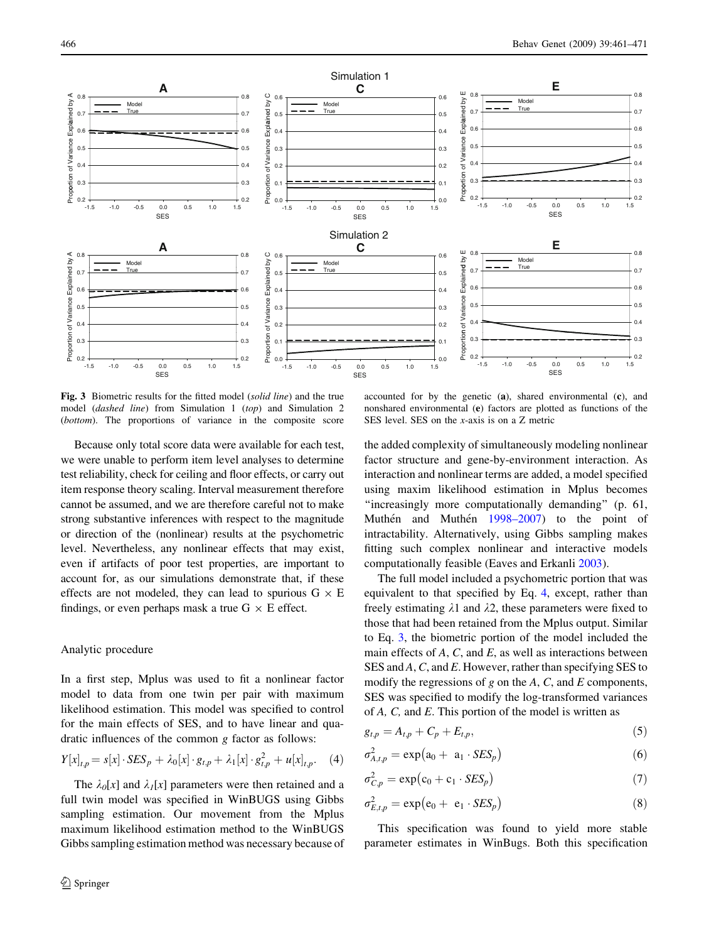

Fig. 3 Biometric results for the fitted model (solid line) and the true model (dashed line) from Simulation 1 (top) and Simulation 2 (bottom). The proportions of variance in the composite score

Because only total score data were available for each test, we were unable to perform item level analyses to determine test reliability, check for ceiling and floor effects, or carry out item response theory scaling. Interval measurement therefore cannot be assumed, and we are therefore careful not to make strong substantive inferences with respect to the magnitude or direction of the (nonlinear) results at the psychometric level. Nevertheless, any nonlinear effects that may exist, even if artifacts of poor test properties, are important to account for, as our simulations demonstrate that, if these effects are not modeled, they can lead to spurious  $G \times E$ findings, or even perhaps mask a true  $G \times E$  effect.

## Analytic procedure

In a first step, Mplus was used to fit a nonlinear factor model to data from one twin per pair with maximum likelihood estimation. This model was specified to control for the main effects of SES, and to have linear and quadratic influences of the common g factor as follows:

$$
Y[x]_{t,p} = s[x] \cdot SES_p + \lambda_0[x] \cdot g_{t,p} + \lambda_1[x] \cdot g_{t,p}^2 + u[x]_{t,p}. \quad (4)
$$

<span id="page-5-0"></span>The  $\lambda_0[x]$  and  $\lambda_1[x]$  parameters were then retained and a full twin model was specified in WinBUGS using Gibbs sampling estimation. Our movement from the Mplus maximum likelihood estimation method to the WinBUGS Gibbs sampling estimation method was necessary because of

accounted for by the genetic (a), shared environmental (c), and nonshared environmental (e) factors are plotted as functions of the SES level. SES on the x-axis is on a Z metric

the added complexity of simultaneously modeling nonlinear factor structure and gene-by-environment interaction. As interaction and nonlinear terms are added, a model specified using maxim likelihood estimation in Mplus becomes ''increasingly more computationally demanding'' (p. 61, Muthén and Muthén [1998–2007](#page-9-0)) to the point of intractability. Alternatively, using Gibbs sampling makes fitting such complex nonlinear and interactive models computationally feasible (Eaves and Erkanli [2003](#page-9-0)).

The full model included a psychometric portion that was equivalent to that specified by Eq. [4,](#page-5-0) except, rather than freely estimating  $\lambda$ 1 and  $\lambda$ 2, these parameters were fixed to those that had been retained from the Mplus output. Similar to Eq. [3,](#page-3-0) the biometric portion of the model included the main effects of  $A$ ,  $C$ , and  $E$ , as well as interactions between SES and A, C, and E. However, rather than specifying SES to modify the regressions of  $g$  on the  $A$ ,  $C$ , and  $E$  components, SES was specified to modify the log-transformed variances of A, C, and E. This portion of the model is written as

$$
g_{t,p} = A_{t,p} + C_p + E_{t,p},
$$
\n(5)

$$
\sigma_{A,t,p}^2 = \exp\left(a_0 + a_1 \cdot SES_p\right) \tag{6}
$$

$$
\sigma_{C,p}^2 = \exp(c_0 + c_1 \cdot SES_p) \tag{7}
$$

$$
\sigma_{E,t,p}^2 = \exp(e_0 + e_1 \cdot SES_p) \tag{8}
$$

This specification was found to yield more stable parameter estimates in WinBugs. Both this specification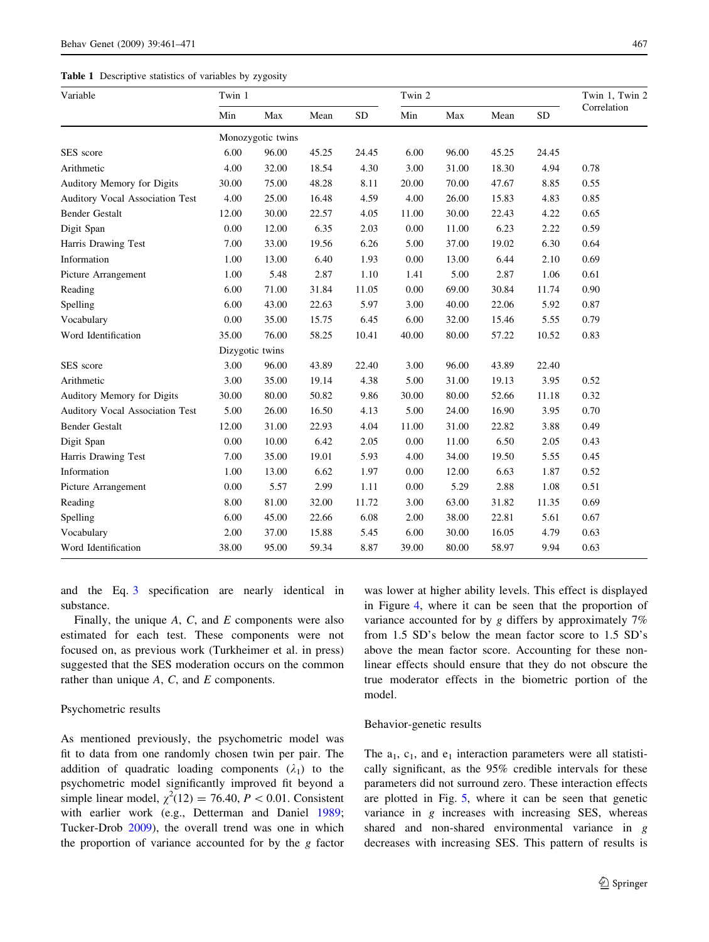## Table 1 Descriptive statistics of variables by zygosity

| Variable                        | Twin 1            |       |       |           | Twin 2 |       |       |           | Twin 1, Twin 2 |
|---------------------------------|-------------------|-------|-------|-----------|--------|-------|-------|-----------|----------------|
|                                 | Min               | Max   | Mean  | <b>SD</b> | Min    | Max   | Mean  | <b>SD</b> | Correlation    |
|                                 | Monozygotic twins |       |       |           |        |       |       |           |                |
| SES score                       | 6.00              | 96.00 | 45.25 | 24.45     | 6.00   | 96.00 | 45.25 | 24.45     |                |
| Arithmetic                      | 4.00              | 32.00 | 18.54 | 4.30      | 3.00   | 31.00 | 18.30 | 4.94      | 0.78           |
| Auditory Memory for Digits      | 30.00             | 75.00 | 48.28 | 8.11      | 20.00  | 70.00 | 47.67 | 8.85      | 0.55           |
| Auditory Vocal Association Test | 4.00              | 25.00 | 16.48 | 4.59      | 4.00   | 26.00 | 15.83 | 4.83      | 0.85           |
| <b>Bender Gestalt</b>           | 12.00             | 30.00 | 22.57 | 4.05      | 11.00  | 30.00 | 22.43 | 4.22      | 0.65           |
| Digit Span                      | 0.00              | 12.00 | 6.35  | 2.03      | 0.00   | 11.00 | 6.23  | 2.22      | 0.59           |
| Harris Drawing Test             | 7.00              | 33.00 | 19.56 | 6.26      | 5.00   | 37.00 | 19.02 | 6.30      | 0.64           |
| Information                     | 1.00              | 13.00 | 6.40  | 1.93      | 0.00   | 13.00 | 6.44  | 2.10      | 0.69           |
| Picture Arrangement             | 1.00              | 5.48  | 2.87  | 1.10      | 1.41   | 5.00  | 2.87  | 1.06      | 0.61           |
| Reading                         | 6.00              | 71.00 | 31.84 | 11.05     | 0.00   | 69.00 | 30.84 | 11.74     | 0.90           |
| Spelling                        | 6.00              | 43.00 | 22.63 | 5.97      | 3.00   | 40.00 | 22.06 | 5.92      | 0.87           |
| Vocabulary                      | 0.00              | 35.00 | 15.75 | 6.45      | 6.00   | 32.00 | 15.46 | 5.55      | 0.79           |
| Word Identification             | 35.00             | 76.00 | 58.25 | 10.41     | 40.00  | 80.00 | 57.22 | 10.52     | 0.83           |
|                                 | Dizygotic twins   |       |       |           |        |       |       |           |                |
| SES score                       | 3.00              | 96.00 | 43.89 | 22.40     | 3.00   | 96.00 | 43.89 | 22.40     |                |
| Arithmetic                      | 3.00              | 35.00 | 19.14 | 4.38      | 5.00   | 31.00 | 19.13 | 3.95      | 0.52           |
| Auditory Memory for Digits      | 30.00             | 80.00 | 50.82 | 9.86      | 30.00  | 80.00 | 52.66 | 11.18     | 0.32           |
| Auditory Vocal Association Test | 5.00              | 26.00 | 16.50 | 4.13      | 5.00   | 24.00 | 16.90 | 3.95      | 0.70           |
| <b>Bender Gestalt</b>           | 12.00             | 31.00 | 22.93 | 4.04      | 11.00  | 31.00 | 22.82 | 3.88      | 0.49           |
| Digit Span                      | 0.00              | 10.00 | 6.42  | 2.05      | 0.00   | 11.00 | 6.50  | 2.05      | 0.43           |
| Harris Drawing Test             | 7.00              | 35.00 | 19.01 | 5.93      | 4.00   | 34.00 | 19.50 | 5.55      | 0.45           |
| Information                     | 1.00              | 13.00 | 6.62  | 1.97      | 0.00   | 12.00 | 6.63  | 1.87      | 0.52           |
| Picture Arrangement             | 0.00              | 5.57  | 2.99  | 1.11      | 0.00   | 5.29  | 2.88  | 1.08      | 0.51           |
| Reading                         | 8.00              | 81.00 | 32.00 | 11.72     | 3.00   | 63.00 | 31.82 | 11.35     | 0.69           |
| Spelling                        | 6.00              | 45.00 | 22.66 | 6.08      | 2.00   | 38.00 | 22.81 | 5.61      | 0.67           |
| Vocabulary                      | 2.00              | 37.00 | 15.88 | 5.45      | 6.00   | 30.00 | 16.05 | 4.79      | 0.63           |
| Word Identification             | 38.00             | 95.00 | 59.34 | 8.87      | 39.00  | 80.00 | 58.97 | 9.94      | 0.63           |

and the Eq. [3](#page-3-0) specification are nearly identical in substance.

Finally, the unique  $A$ ,  $C$ , and  $E$  components were also estimated for each test. These components were not focused on, as previous work (Turkheimer et al. in press) suggested that the SES moderation occurs on the common rather than unique A, C, and E components.

# Psychometric results

<span id="page-6-0"></span>As mentioned previously, the psychometric model was fit to data from one randomly chosen twin per pair. The addition of quadratic loading components  $(\lambda_1)$  to the psychometric model significantly improved fit beyond a simple linear model,  $\chi^2(12) = 76.40$ ,  $P < 0.01$ . Consistent with earlier work (e.g., Detterman and Daniel [1989](#page-9-0); Tucker-Drob [2009\)](#page-10-0), the overall trend was one in which the proportion of variance accounted for by the  $g$  factor was lower at higher ability levels. This effect is displayed in Figure [4,](#page-7-0) where it can be seen that the proportion of variance accounted for by g differs by approximately 7% from 1.5 SD's below the mean factor score to 1.5 SD's above the mean factor score. Accounting for these nonlinear effects should ensure that they do not obscure the true moderator effects in the biometric portion of the model.

#### Behavior-genetic results

The  $a_1$ ,  $c_1$ , and  $e_1$  interaction parameters were all statistically significant, as the 95% credible intervals for these parameters did not surround zero. These interaction effects are plotted in Fig. [5,](#page-7-0) where it can be seen that genetic variance in  $g$  increases with increasing SES, whereas shared and non-shared environmental variance in g decreases with increasing SES. This pattern of results is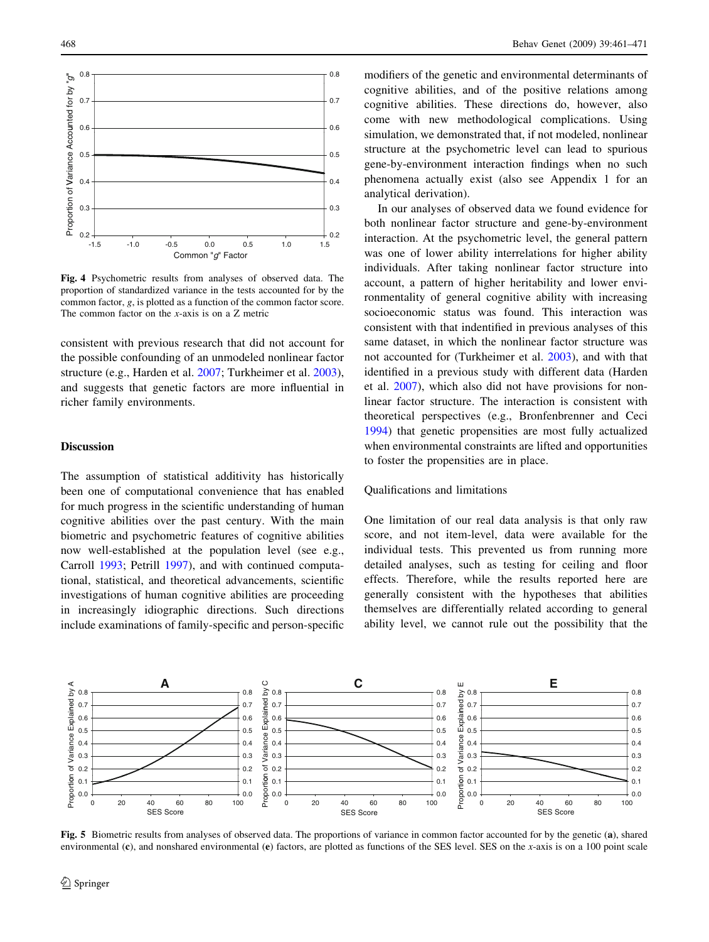

Fig. 4 Psychometric results from analyses of observed data. The proportion of standardized variance in the tests accounted for by the common factor, g, is plotted as a function of the common factor score. The common factor on the x-axis is on a Z metric

consistent with previous research that did not account for the possible confounding of an unmodeled nonlinear factor structure (e.g., Harden et al. [2007;](#page-9-0) Turkheimer et al. [2003](#page-10-0)), and suggests that genetic factors are more influential in richer family environments.

# Discussion

The assumption of statistical additivity has historically been one of computational convenience that has enabled for much progress in the scientific understanding of human cognitive abilities over the past century. With the main biometric and psychometric features of cognitive abilities now well-established at the population level (see e.g., Carroll [1993](#page-9-0); Petrill [1997](#page-9-0)), and with continued computational, statistical, and theoretical advancements, scientific investigations of human cognitive abilities are proceeding in increasingly idiographic directions. Such directions include examinations of family-specific and person-specific

modifiers of the genetic and environmental determinants of cognitive abilities, and of the positive relations among cognitive abilities. These directions do, however, also come with new methodological complications. Using simulation, we demonstrated that, if not modeled, nonlinear structure at the psychometric level can lead to spurious gene-by-environment interaction findings when no such phenomena actually exist (also see Appendix 1 for an analytical derivation).

In our analyses of observed data we found evidence for both nonlinear factor structure and gene-by-environment interaction. At the psychometric level, the general pattern was one of lower ability interrelations for higher ability individuals. After taking nonlinear factor structure into account, a pattern of higher heritability and lower environmentality of general cognitive ability with increasing socioeconomic status was found. This interaction was consistent with that indentified in previous analyses of this same dataset, in which the nonlinear factor structure was not accounted for (Turkheimer et al. [2003](#page-10-0)), and with that identified in a previous study with different data (Harden et al. [2007\)](#page-9-0), which also did not have provisions for nonlinear factor structure. The interaction is consistent with theoretical perspectives (e.g., Bronfenbrenner and Ceci [1994](#page-9-0)) that genetic propensities are most fully actualized when environmental constraints are lifted and opportunities to foster the propensities are in place.

## Qualifications and limitations

One limitation of our real data analysis is that only raw score, and not item-level, data were available for the individual tests. This prevented us from running more detailed analyses, such as testing for ceiling and floor effects. Therefore, while the results reported here are generally consistent with the hypotheses that abilities themselves are differentially related according to general ability level, we cannot rule out the possibility that the



<span id="page-7-0"></span>Fig. 5 Biometric results from analyses of observed data. The proportions of variance in common factor accounted for by the genetic (a), shared environmental (c), and nonshared environmental (e) factors, are plotted as functions of the SES level. SES on the x-axis is on a 100 point scale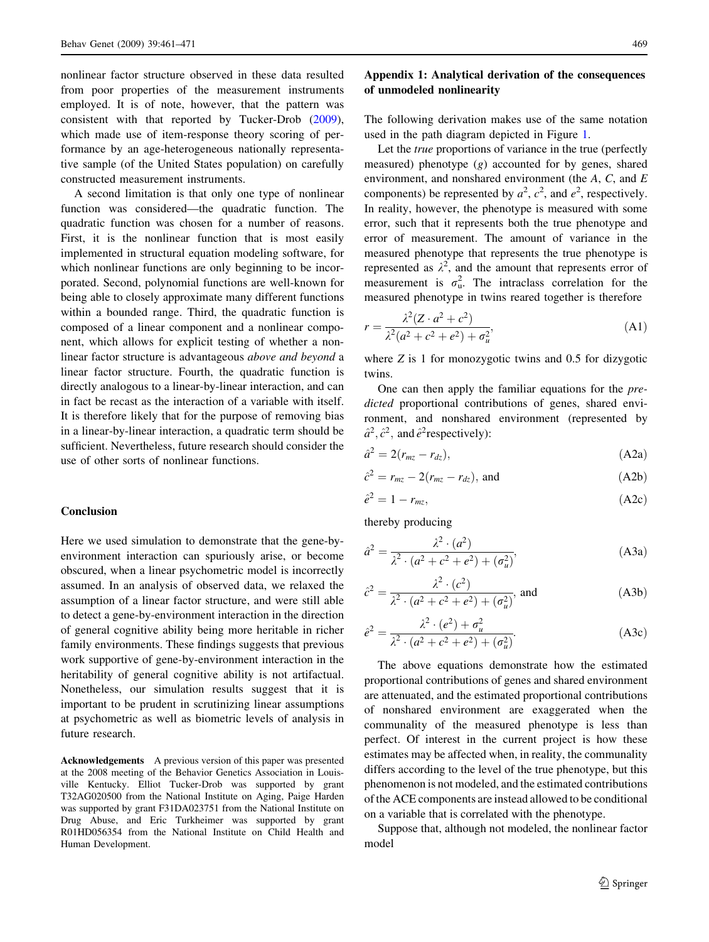nonlinear factor structure observed in these data resulted from poor properties of the measurement instruments employed. It is of note, however, that the pattern was consistent with that reported by Tucker-Drob [\(2009](#page-10-0)), which made use of item-response theory scoring of performance by an age-heterogeneous nationally representative sample (of the United States population) on carefully constructed measurement instruments.

A second limitation is that only one type of nonlinear function was considered—the quadratic function. The quadratic function was chosen for a number of reasons. First, it is the nonlinear function that is most easily implemented in structural equation modeling software, for which nonlinear functions are only beginning to be incorporated. Second, polynomial functions are well-known for being able to closely approximate many different functions within a bounded range. Third, the quadratic function is composed of a linear component and a nonlinear component, which allows for explicit testing of whether a nonlinear factor structure is advantageous above and beyond a linear factor structure. Fourth, the quadratic function is directly analogous to a linear-by-linear interaction, and can in fact be recast as the interaction of a variable with itself. It is therefore likely that for the purpose of removing bias in a linear-by-linear interaction, a quadratic term should be sufficient. Nevertheless, future research should consider the use of other sorts of nonlinear functions.

## Conclusion

Here we used simulation to demonstrate that the gene-byenvironment interaction can spuriously arise, or become obscured, when a linear psychometric model is incorrectly assumed. In an analysis of observed data, we relaxed the assumption of a linear factor structure, and were still able to detect a gene-by-environment interaction in the direction of general cognitive ability being more heritable in richer family environments. These findings suggests that previous work supportive of gene-by-environment interaction in the heritability of general cognitive ability is not artifactual. Nonetheless, our simulation results suggest that it is important to be prudent in scrutinizing linear assumptions at psychometric as well as biometric levels of analysis in future research.

<span id="page-8-0"></span>Acknowledgements A previous version of this paper was presented at the 2008 meeting of the Behavior Genetics Association in Louisville Kentucky. Elliot Tucker-Drob was supported by grant T32AG020500 from the National Institute on Aging, Paige Harden was supported by grant F31DA023751 from the National Institute on Drug Abuse, and Eric Turkheimer was supported by grant R01HD056354 from the National Institute on Child Health and Human Development.

# Appendix 1: Analytical derivation of the consequences of unmodeled nonlinearity

The following derivation makes use of the same notation used in the path diagram depicted in Figure [1](#page-1-0).

Let the true proportions of variance in the true (perfectly measured) phenotype  $(g)$  accounted for by genes, shared environment, and nonshared environment (the A, C, and E components) be represented by  $a^2$ ,  $c^2$ , and  $e^2$ , respectively. In reality, however, the phenotype is measured with some error, such that it represents both the true phenotype and error of measurement. The amount of variance in the measured phenotype that represents the true phenotype is represented as  $\lambda^2$ , and the amount that represents error of measurement is  $\sigma_{\rm u}^2$ . The intraclass correlation for the measured phenotype in twins reared together is therefore

$$
r = \frac{\lambda^2 (Z \cdot a^2 + c^2)}{\lambda^2 (a^2 + c^2 + e^2) + \sigma_u^2},\tag{A1}
$$

where  $Z$  is 1 for monozygotic twins and 0.5 for dizygotic twins.

One can then apply the familiar equations for the predicted proportional contributions of genes, shared environment, and nonshared environment (represented by  $\hat{a}^2$ ,  $\hat{c}^2$ , and  $\hat{e}^2$ respectively):

$$
\hat{a}^2 = 2(r_{mz} - r_{dz}),\tag{A2a}
$$

$$
\hat{c}^2 = r_{mz} - 2(r_{mz} - r_{dz}), \text{ and} \tag{A2b}
$$

$$
\hat{e}^2 = 1 - r_{mz},\tag{A2c}
$$

thereby producing

$$
\hat{a}^2 = \frac{\lambda^2 \cdot (a^2)}{\lambda^2 \cdot (a^2 + c^2 + e^2) + (\sigma_u^2)},
$$
\n(A3a)

$$
\hat{c}^2 = \frac{\lambda^2 \cdot (c^2)}{\lambda^2 \cdot (a^2 + c^2 + e^2) + (\sigma_u^2)}, \text{ and } \tag{A3b}
$$

$$
\hat{e}^2 = \frac{\lambda^2 \cdot (e^2) + \sigma_u^2}{\lambda^2 \cdot (a^2 + c^2 + e^2) + (\sigma_u^2)}.
$$
 (A3c)

The above equations demonstrate how the estimated proportional contributions of genes and shared environment are attenuated, and the estimated proportional contributions of nonshared environment are exaggerated when the communality of the measured phenotype is less than perfect. Of interest in the current project is how these estimates may be affected when, in reality, the communality differs according to the level of the true phenotype, but this phenomenon is not modeled, and the estimated contributions of the ACE components are instead allowed to be conditional on a variable that is correlated with the phenotype.

Suppose that, although not modeled, the nonlinear factor model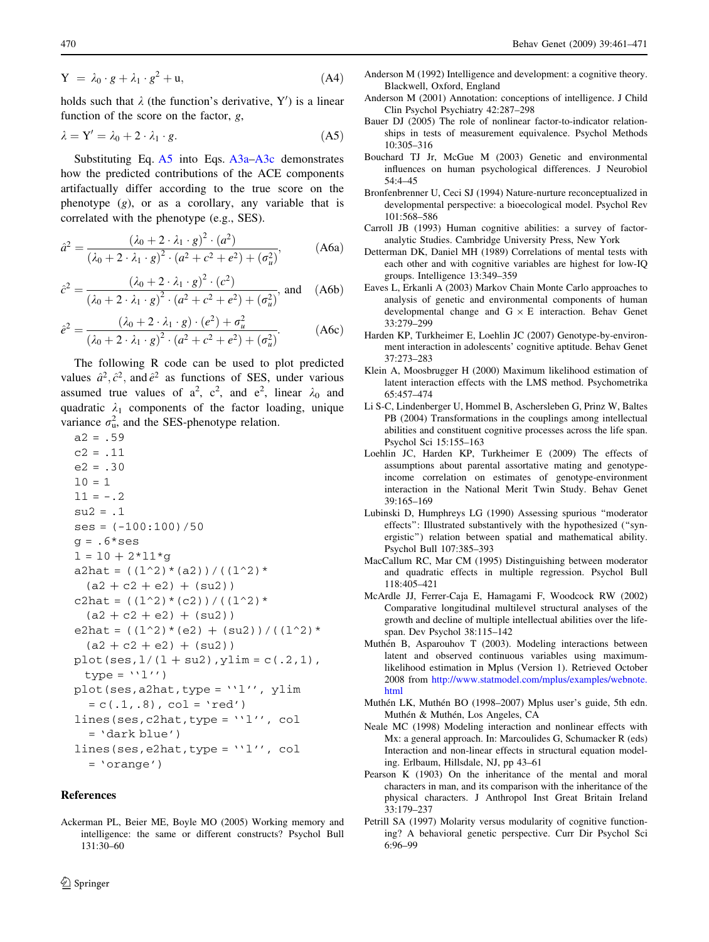$$
Y = \lambda_0 \cdot g + \lambda_1 \cdot g^2 + u,\tag{A4}
$$

holds such that  $\lambda$  (the function's derivative, Y') is a linear function of the score on the factor,  $g$ ,

$$
\lambda = \mathbf{Y}' = \lambda_0 + 2 \cdot \lambda_1 \cdot g. \tag{A5}
$$

Substituting Eq. [A5](#page-9-0) into Eqs. [A3a–A3c](#page-8-0) demonstrates how the predicted contributions of the ACE components artifactually differ according to the true score on the phenotype  $(g)$ , or as a corollary, any variable that is correlated with the phenotype (e.g., SES).

$$
\hat{a}^2 = \frac{(\lambda_0 + 2 \cdot \lambda_1 \cdot g)^2 \cdot (a^2)}{(\lambda_0 + 2 \cdot \lambda_1 \cdot g)^2 \cdot (a^2 + c^2 + e^2) + (\sigma_u^2)},
$$
 (A6a)

$$
\hat{c}^2 = \frac{(\lambda_0 + 2 \cdot \lambda_1 \cdot g)^2 \cdot (c^2)}{(\lambda_0 + 2 \cdot \lambda_1 \cdot g)^2 \cdot (a^2 + c^2 + e^2) + (\sigma_u^2)}, \text{ and } (A6b)
$$

$$
\hat{e}^2 = \frac{(\lambda_0 + 2 \cdot \lambda_1 \cdot g) \cdot (e^2) + \sigma_u^2}{(\lambda_0 + 2 \cdot \lambda_1 \cdot g)^2 \cdot (a^2 + c^2 + e^2) + (\sigma_u^2)}.
$$
 (A6c)

The following R code can be used to plot predicted values  $\hat{a}^2$ ,  $\hat{c}^2$ , and  $\hat{e}^2$  as functions of SES, under various assumed true values of  $a^2$ ,  $c^2$ , and  $e^2$ , linear  $\lambda_0$  and quadratic  $\lambda_1$  components of the factor loading, unique variance  $\sigma_{\rm u}^2$ , and the SES-phenotype relation.

```
a2 = .59c2 = .11e2 = .3010 = 111 = -.2su2 = .1ses = (-100:100)/50q = .6*ses1 = 10 + 2*11*qa2hat = ((1^2)^*(a2))^{\prime}((1^2)^*(a2 + c2 + e2) + (su2)c2hat = ((1^2)^*(c2))/(1^2)^*(a2 + c2 + e2) + (su2)e2hat = ((1^2)^*(e^2) + (su^2)) / ((1^2)^*(a2 + c2 + e2) + (su2)plot(ses,1/(1 + su2), ylim = c(.2,1),
 type = '1')
plot(ses, a2hat, type = 'l'', ylim= c(.1, .8), col = 'red')lines(ses, c2hat, type = 'l''.'', col)= 'dark blue')
lines(ses, e2hat, type = '1', col
  = 'orange')
```
## References

<span id="page-9-0"></span>Ackerman PL, Beier ME, Boyle MO (2005) Working memory and intelligence: the same or different constructs? Psychol Bull 131:30–60

- Anderson M (1992) Intelligence and development: a cognitive theory. Blackwell, Oxford, England
- Anderson M (2001) Annotation: conceptions of intelligence. J Child Clin Psychol Psychiatry 42:287–298
- Bauer DJ (2005) The role of nonlinear factor-to-indicator relationships in tests of measurement equivalence. Psychol Methods 10:305–316
- Bouchard TJ Jr, McGue M (2003) Genetic and environmental influences on human psychological differences. J Neurobiol 54:4–45
- Bronfenbrenner U, Ceci SJ (1994) Nature-nurture reconceptualized in developmental perspective: a bioecological model. Psychol Rev 101:568–586
- Carroll JB (1993) Human cognitive abilities: a survey of factoranalytic Studies. Cambridge University Press, New York
- Detterman DK, Daniel MH (1989) Correlations of mental tests with each other and with cognitive variables are highest for low-IQ groups. Intelligence 13:349–359
- Eaves L, Erkanli A (2003) Markov Chain Monte Carlo approaches to analysis of genetic and environmental components of human developmental change and  $G \times E$  interaction. Behav Genet 33:279–299
- Harden KP, Turkheimer E, Loehlin JC (2007) Genotype-by-environment interaction in adolescents' cognitive aptitude. Behav Genet 37:273–283
- Klein A, Moosbrugger H (2000) Maximum likelihood estimation of latent interaction effects with the LMS method. Psychometrika 65:457–474
- Li S-C, Lindenberger U, Hommel B, Aschersleben G, Prinz W, Baltes PB (2004) Transformations in the couplings among intellectual abilities and constituent cognitive processes across the life span. Psychol Sci 15:155–163
- Loehlin JC, Harden KP, Turkheimer E (2009) The effects of assumptions about parental assortative mating and genotypeincome correlation on estimates of genotype-environment interaction in the National Merit Twin Study. Behav Genet 39:165–169
- Lubinski D, Humphreys LG (1990) Assessing spurious ''moderator effects'': Illustrated substantively with the hypothesized (''synergistic'') relation between spatial and mathematical ability. Psychol Bull 107:385–393
- MacCallum RC, Mar CM (1995) Distinguishing between moderator and quadratic effects in multiple regression. Psychol Bull 118:405–421
- McArdle JJ, Ferrer-Caja E, Hamagami F, Woodcock RW (2002) Comparative longitudinal multilevel structural analyses of the growth and decline of multiple intellectual abilities over the lifespan. Dev Psychol 38:115–142
- Muthén B, Asparouhov T (2003). Modeling interactions between latent and observed continuous variables using maximumlikelihood estimation in Mplus (Version 1). Retrieved October 2008 from [http://www.statmodel.com/mplus/examples/webnote.](http://www.statmodel.com/mplus/examples/webnote.html) [html](http://www.statmodel.com/mplus/examples/webnote.html)
- Muthén LK, Muthén BO (1998–2007) Mplus user's guide, 5th edn. Muthén & Muthén, Los Angeles, CA
- Neale MC (1998) Modeling interaction and nonlinear effects with Mx: a general approach. In: Marcoulides G, Schumacker R (eds) Interaction and non-linear effects in structural equation modeling. Erlbaum, Hillsdale, NJ, pp 43–61
- Pearson K (1903) On the inheritance of the mental and moral characters in man, and its comparison with the inheritance of the physical characters. J Anthropol Inst Great Britain Ireland 33:179–237
- Petrill SA (1997) Molarity versus modularity of cognitive functioning? A behavioral genetic perspective. Curr Dir Psychol Sci 6:96–99